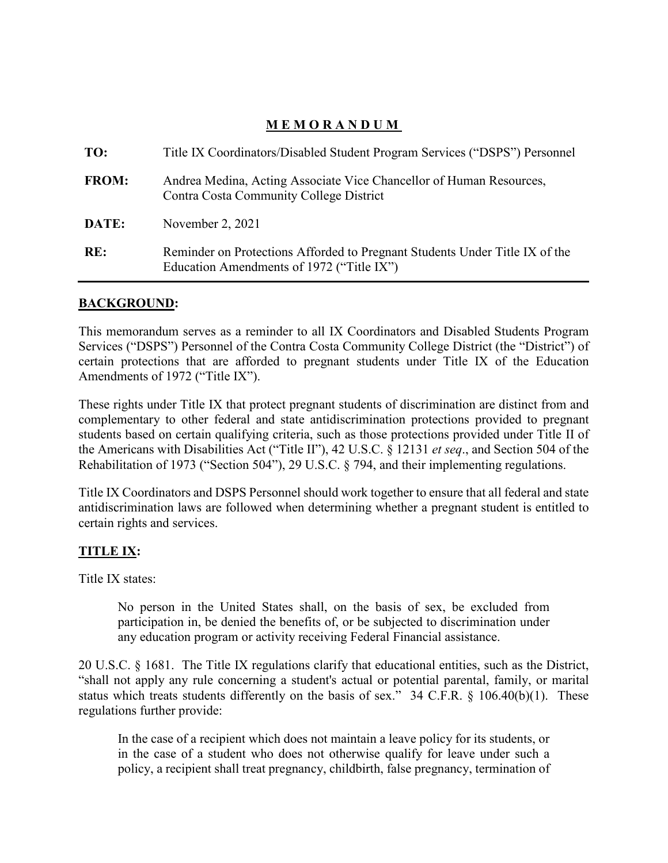## **MEMORANDUM**

| TO:          | Title IX Coordinators/Disabled Student Program Services ("DSPS") Personnel                                               |
|--------------|--------------------------------------------------------------------------------------------------------------------------|
| <b>FROM:</b> | Andrea Medina, Acting Associate Vice Chancellor of Human Resources,<br>Contra Costa Community College District           |
| DATE:        | November 2, 2021                                                                                                         |
| RE:          | Reminder on Protections Afforded to Pregnant Students Under Title IX of the<br>Education Amendments of 1972 ("Title IX") |

## **BACKGROUND:**

 Services ("DSPS") Personnel of the Contra Costa Community College District (the "District") of certain protections that are afforded to pregnant students under Title IX of the Education Amendments of 1972 ("Title IX"). This memorandum serves as a reminder to all IX Coordinators and Disabled Students Program

 These rights under Title IX that protect pregnant students of discrimination are distinct from and complementary to other federal and state antidiscrimination protections provided to pregnant students based on certain qualifying criteria, such as those protections provided under Title II of the Americans with Disabilities Act ("Title II"), 42 U.S.C. § 12131 *et seq*., and Section 504 of the Rehabilitation of 1973 ("Section 504"), 29 U.S.C. § 794, and their implementing regulations.

 antidiscrimination laws are followed when determining whether a pregnant student is entitled to Title IX Coordinators and DSPS Personnel should work together to ensure that all federal and state certain rights and services.

## **TITLE IX:**

Title IX states:

No person in the United States shall, on the basis of sex, be excluded from participation in, be denied the benefits of, or be subjected to discrimination under any education program or activity receiving Federal Financial assistance.

 20 U.S.C. § 1681. The Title IX regulations clarify that educational entities, such as the District, status which treats students differently on the basis of sex." 34 C.F.R.  $\S$  106.40(b)(1). These "shall not apply any rule concerning a student's actual or potential parental, family, or marital regulations further provide:

 In the case of a recipient which does not maintain a leave policy for its students, or in the case of a student who does not otherwise qualify for leave under such a policy, a recipient shall treat pregnancy, childbirth, false pregnancy, termination of